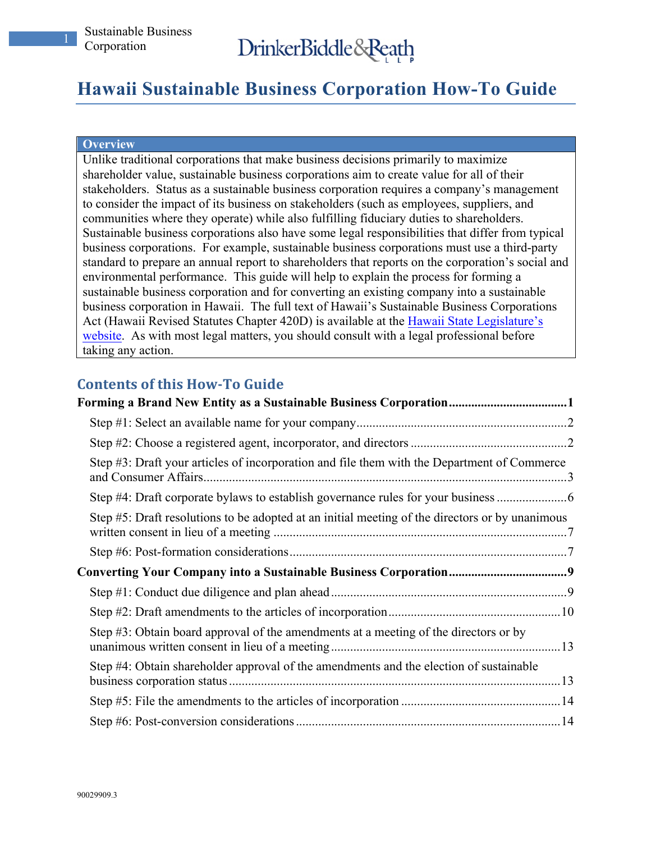# **Hawaii Sustainable Business Corporation How-To Guide**

#### **Overview**

Unlike traditional corporations that make business decisions primarily to maximize shareholder value, sustainable business corporations aim to create value for all of their stakeholders. Status as a sustainable business corporation requires a company's management to consider the impact of its business on stakeholders (such as employees, suppliers, and communities where they operate) while also fulfilling fiduciary duties to shareholders. Sustainable business corporations also have some legal responsibilities that differ from typical business corporations. For example, sustainable business corporations must use a third-party standard to prepare an annual report to shareholders that reports on the corporation's social and environmental performance. This guide will help to explain the process for forming a sustainable business corporation and for converting an existing company into a sustainable business corporation in Hawaii. The full text of Hawaii's Sustainable Business Corporations Act (Hawaii Revised Statutes Chapter 420D) is available at the Hawaii State Legislature's website. As with most legal matters, you should consult with a legal professional before taking any action.

### **Contents of this How-To Guide**

| Forming a Brand New Entity as a Sustainable Business Corporation1                                                    |  |
|----------------------------------------------------------------------------------------------------------------------|--|
|                                                                                                                      |  |
|                                                                                                                      |  |
| Step #3: Draft your articles of incorporation and file them with the Department of Commerce<br>and Consumer Affairs. |  |
| Step #4: Draft corporate bylaws to establish governance rules for your business                                      |  |
| Step #5: Draft resolutions to be adopted at an initial meeting of the directors or by unanimous                      |  |
|                                                                                                                      |  |
|                                                                                                                      |  |
|                                                                                                                      |  |
|                                                                                                                      |  |
| Step #3: Obtain board approval of the amendments at a meeting of the directors or by                                 |  |
| Step #4: Obtain shareholder approval of the amendments and the election of sustainable                               |  |
|                                                                                                                      |  |
|                                                                                                                      |  |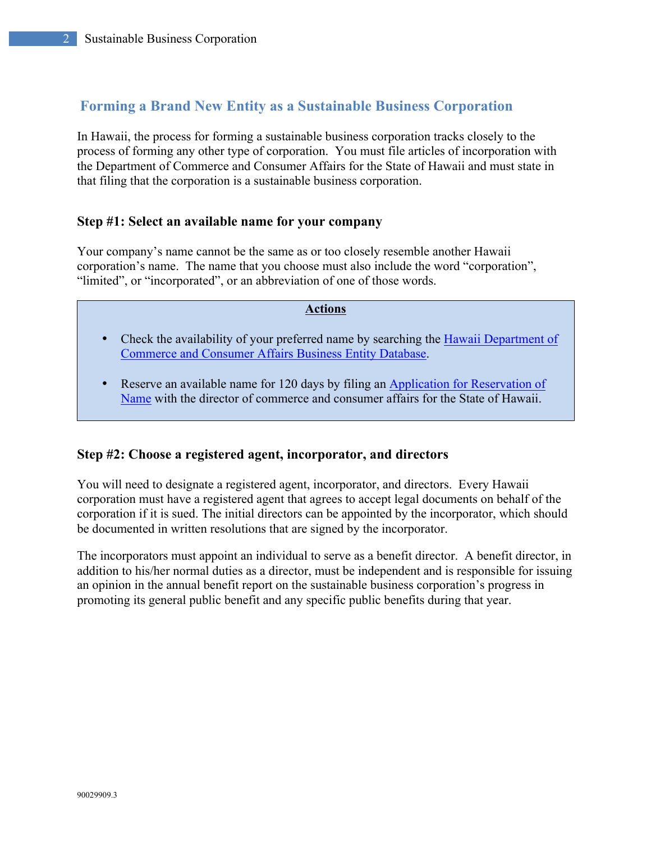### **Forming a Brand New Entity as a Sustainable Business Corporation**

In Hawaii, the process for forming a sustainable business corporation tracks closely to the process of forming any other type of corporation. You must file articles of incorporation with the Department of Commerce and Consumer Affairs for the State of Hawaii and must state in that filing that the corporation is a sustainable business corporation.

#### **Step #1: Select an available name for your company**

Your company's name cannot be the same as or too closely resemble another Hawaii corporation's name. The name that you choose must also include the word "corporation", "limited", or "incorporated", or an abbreviation of one of those words.

#### **Actions**

- Check the availability of your preferred name by searching the Hawaii Department of Commerce and Consumer Affairs Business Entity Database.
- Reserve an available name for 120 days by filing an Application for Reservation of Name with the director of commerce and consumer affairs for the State of Hawaii.

#### **Step #2: Choose a registered agent, incorporator, and directors**

You will need to designate a registered agent, incorporator, and directors. Every Hawaii corporation must have a registered agent that agrees to accept legal documents on behalf of the corporation if it is sued. The initial directors can be appointed by the incorporator, which should be documented in written resolutions that are signed by the incorporator.

The incorporators must appoint an individual to serve as a benefit director. A benefit director, in addition to his/her normal duties as a director, must be independent and is responsible for issuing an opinion in the annual benefit report on the sustainable business corporation's progress in promoting its general public benefit and any specific public benefits during that year.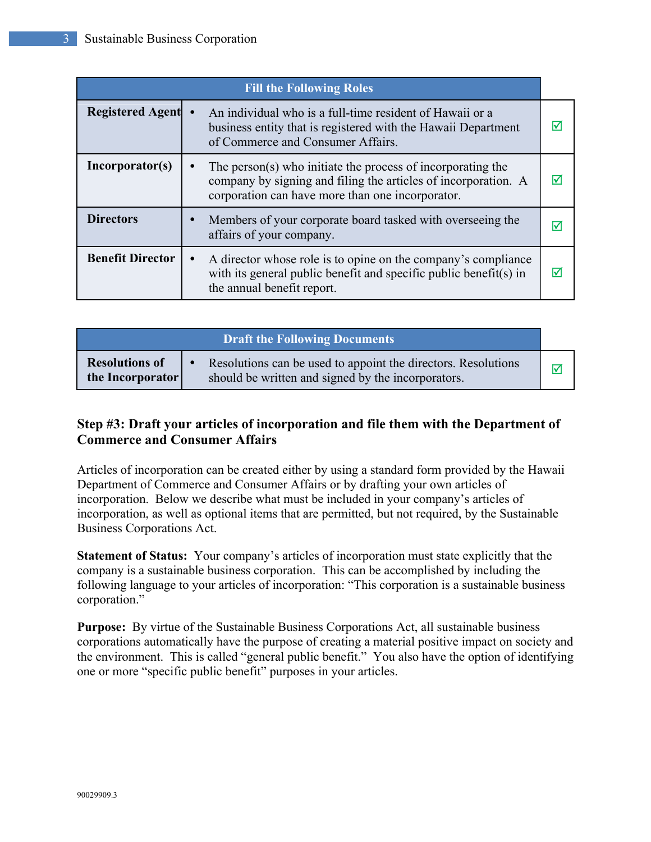| <b>Fill the Following Roles</b> |                                                                                                                                                                                                |   |
|---------------------------------|------------------------------------------------------------------------------------------------------------------------------------------------------------------------------------------------|---|
| <b>Registered Agent</b>         | An individual who is a full-time resident of Hawaii or a<br>business entity that is registered with the Hawaii Department<br>of Commerce and Consumer Affairs.                                 | M |
| Incorporator(s)                 | The person(s) who initiate the process of incorporating the<br>$\bullet$<br>company by signing and filing the articles of incorporation. A<br>corporation can have more than one incorporator. | ⋈ |
| <b>Directors</b>                | Members of your corporate board tasked with overseeing the<br>$\bullet$<br>affairs of your company.                                                                                            | ₩ |
| <b>Benefit Director</b>         | A director whose role is to opine on the company's compliance<br>$\bullet$<br>with its general public benefit and specific public benefit(s) in<br>the annual benefit report.                  | ⊠ |

| <b>Draft the Following Documents</b>      |                                                                                                                     |  |
|-------------------------------------------|---------------------------------------------------------------------------------------------------------------------|--|
| <b>Resolutions of</b><br>the Incorporator | Resolutions can be used to appoint the directors. Resolutions<br>should be written and signed by the incorporators. |  |

### **Step #3: Draft your articles of incorporation and file them with the Department of Commerce and Consumer Affairs**

Articles of incorporation can be created either by using a standard form provided by the Hawaii Department of Commerce and Consumer Affairs or by drafting your own articles of incorporation. Below we describe what must be included in your company's articles of incorporation, as well as optional items that are permitted, but not required, by the Sustainable Business Corporations Act.

**Statement of Status:** Your company's articles of incorporation must state explicitly that the company is a sustainable business corporation. This can be accomplished by including the following language to your articles of incorporation: "This corporation is a sustainable business corporation."

**Purpose:** By virtue of the Sustainable Business Corporations Act, all sustainable business corporations automatically have the purpose of creating a material positive impact on society and the environment. This is called "general public benefit." You also have the option of identifying one or more "specific public benefit" purposes in your articles.

90029909.3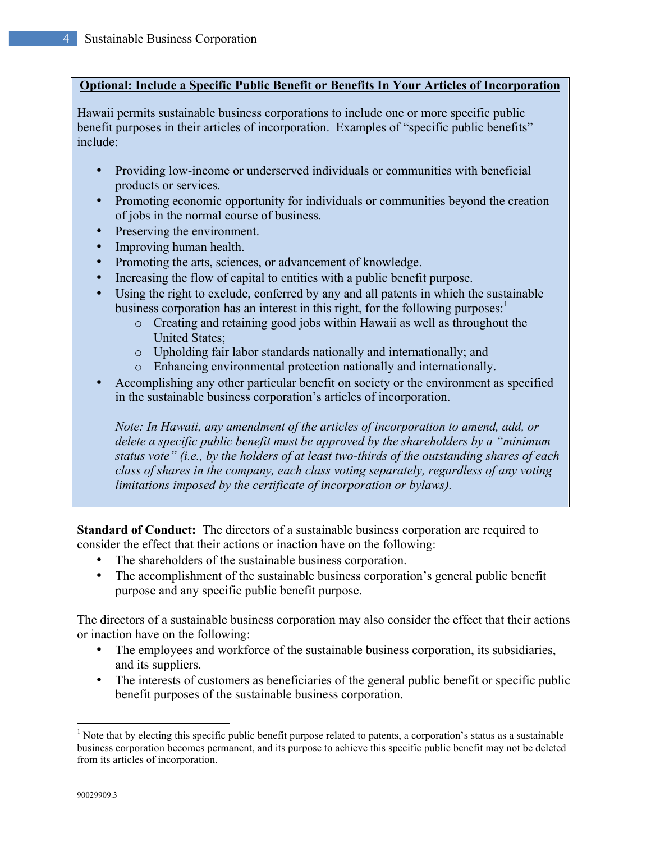### **Optional: Include a Specific Public Benefit or Benefits In Your Articles of Incorporation**

Hawaii permits sustainable business corporations to include one or more specific public benefit purposes in their articles of incorporation. Examples of "specific public benefits" include:

- Providing low-income or underserved individuals or communities with beneficial products or services.
- Promoting economic opportunity for individuals or communities beyond the creation of jobs in the normal course of business.
- Preserving the environment.
- Improving human health.
- Promoting the arts, sciences, or advancement of knowledge.
- Increasing the flow of capital to entities with a public benefit purpose.
- Using the right to exclude, conferred by any and all patents in which the sustainable business corporation has an interest in this right, for the following purposes:
	- o Creating and retaining good jobs within Hawaii as well as throughout the United States;
	- o Upholding fair labor standards nationally and internationally; and
	- o Enhancing environmental protection nationally and internationally.
- Accomplishing any other particular benefit on society or the environment as specified in the sustainable business corporation's articles of incorporation.

*Note: In Hawaii, any amendment of the articles of incorporation to amend, add, or delete a specific public benefit must be approved by the shareholders by a "minimum status vote" (i.e., by the holders of at least two-thirds of the outstanding shares of each class of shares in the company, each class voting separately, regardless of any voting limitations imposed by the certificate of incorporation or bylaws).*

**Standard of Conduct:** The directors of a sustainable business corporation are required to consider the effect that their actions or inaction have on the following:

- The shareholders of the sustainable business corporation.
- The accomplishment of the sustainable business corporation's general public benefit purpose and any specific public benefit purpose.

The directors of a sustainable business corporation may also consider the effect that their actions or inaction have on the following:

- The employees and workforce of the sustainable business corporation, its subsidiaries, and its suppliers.
- The interests of customers as beneficiaries of the general public benefit or specific public benefit purposes of the sustainable business corporation.

 $<sup>1</sup>$  Note that by electing this specific public benefit purpose related to patents, a corporation's status as a sustainable</sup> business corporation becomes permanent, and its purpose to achieve this specific public benefit may not be deleted from its articles of incorporation.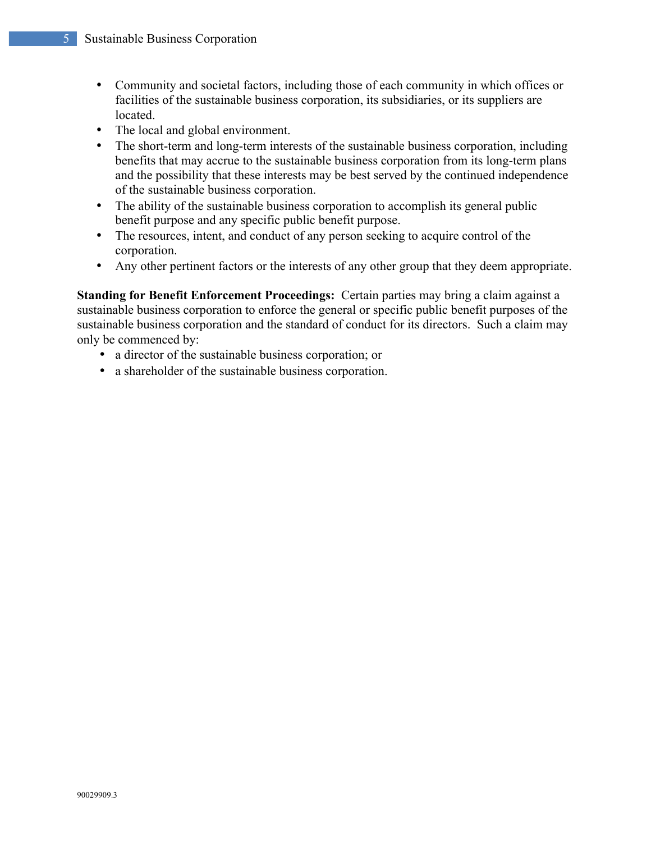- Community and societal factors, including those of each community in which offices or facilities of the sustainable business corporation, its subsidiaries, or its suppliers are located.
- The local and global environment.
- The short-term and long-term interests of the sustainable business corporation, including benefits that may accrue to the sustainable business corporation from its long-term plans and the possibility that these interests may be best served by the continued independence of the sustainable business corporation.
- The ability of the sustainable business corporation to accomplish its general public benefit purpose and any specific public benefit purpose.
- The resources, intent, and conduct of any person seeking to acquire control of the corporation.
- Any other pertinent factors or the interests of any other group that they deem appropriate.

**Standing for Benefit Enforcement Proceedings:** Certain parties may bring a claim against a sustainable business corporation to enforce the general or specific public benefit purposes of the sustainable business corporation and the standard of conduct for its directors. Such a claim may only be commenced by:

- a director of the sustainable business corporation; or
- a shareholder of the sustainable business corporation.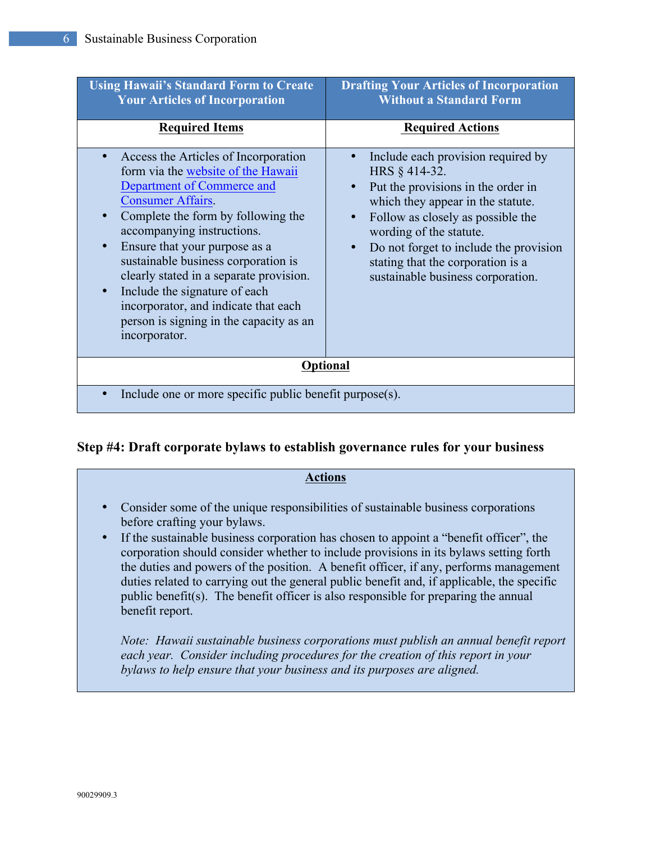| <b>Using Hawaii's Standard Form to Create</b><br><b>Your Articles of Incorporation</b>                                                                                                                                                                                                                                                                                                                                                                                                     | <b>Drafting Your Articles of Incorporation</b><br><b>Without a Standard Form</b>                                                                                                                                                                                                                                   |  |
|--------------------------------------------------------------------------------------------------------------------------------------------------------------------------------------------------------------------------------------------------------------------------------------------------------------------------------------------------------------------------------------------------------------------------------------------------------------------------------------------|--------------------------------------------------------------------------------------------------------------------------------------------------------------------------------------------------------------------------------------------------------------------------------------------------------------------|--|
| <b>Required Items</b>                                                                                                                                                                                                                                                                                                                                                                                                                                                                      | <b>Required Actions</b>                                                                                                                                                                                                                                                                                            |  |
| Access the Articles of Incorporation<br>form via the website of the Hawaii<br>Department of Commerce and<br><b>Consumer Affairs.</b><br>Complete the form by following the<br>accompanying instructions.<br>Ensure that your purpose as a<br>$\bullet$<br>sustainable business corporation is<br>clearly stated in a separate provision.<br>Include the signature of each<br>$\bullet$<br>incorporator, and indicate that each<br>person is signing in the capacity as an<br>incorporator. | Include each provision required by<br>HRS § 414-32.<br>Put the provisions in the order in<br>which they appear in the statute.<br>Follow as closely as possible the<br>wording of the statute.<br>Do not forget to include the provision<br>stating that the corporation is a<br>sustainable business corporation. |  |
| Optional                                                                                                                                                                                                                                                                                                                                                                                                                                                                                   |                                                                                                                                                                                                                                                                                                                    |  |
| Include one or more specific public benefit purpose(s).                                                                                                                                                                                                                                                                                                                                                                                                                                    |                                                                                                                                                                                                                                                                                                                    |  |

### **Step #4: Draft corporate bylaws to establish governance rules for your business**

## **Actions** • Consider some of the unique responsibilities of sustainable business corporations before crafting your bylaws. • If the sustainable business corporation has chosen to appoint a "benefit officer", the corporation should consider whether to include provisions in its bylaws setting forth the duties and powers of the position. A benefit officer, if any, performs management duties related to carrying out the general public benefit and, if applicable, the specific public benefit(s). The benefit officer is also responsible for preparing the annual benefit report. *Note: Hawaii sustainable business corporations must publish an annual benefit report*

*each year. Consider including procedures for the creation of this report in your bylaws to help ensure that your business and its purposes are aligned.*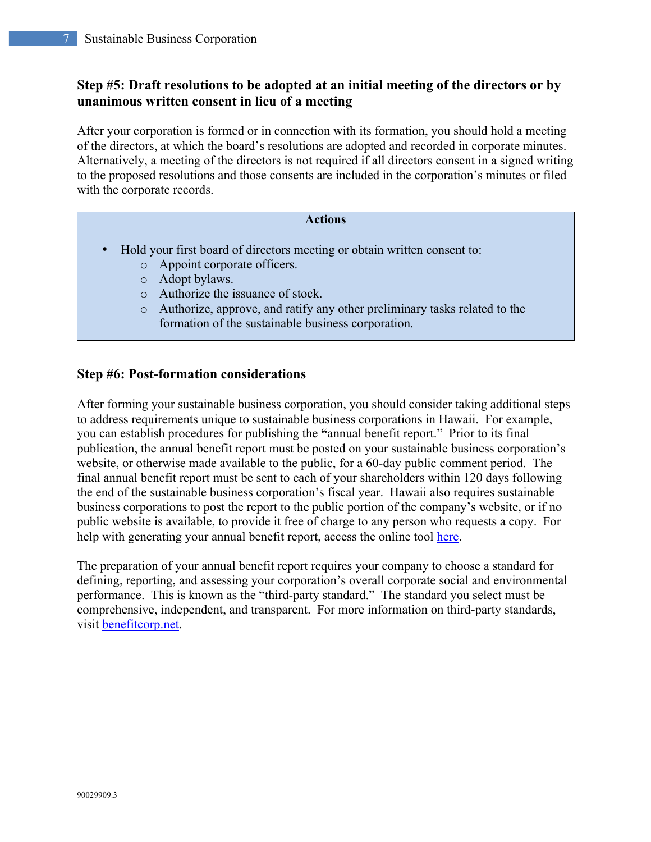### **Step #5: Draft resolutions to be adopted at an initial meeting of the directors or by unanimous written consent in lieu of a meeting**

After your corporation is formed or in connection with its formation, you should hold a meeting of the directors, at which the board's resolutions are adopted and recorded in corporate minutes. Alternatively, a meeting of the directors is not required if all directors consent in a signed writing to the proposed resolutions and those consents are included in the corporation's minutes or filed with the corporate records.

#### **Actions**

- Hold your first board of directors meeting or obtain written consent to:
	- o Appoint corporate officers.
	- o Adopt bylaws.
	- o Authorize the issuance of stock.
	- o Authorize, approve, and ratify any other preliminary tasks related to the formation of the sustainable business corporation.

#### **Step #6: Post-formation considerations**

After forming your sustainable business corporation, you should consider taking additional steps to address requirements unique to sustainable business corporations in Hawaii. For example, you can establish procedures for publishing the **"**annual benefit report." Prior to its final publication, the annual benefit report must be posted on your sustainable business corporation's website, or otherwise made available to the public, for a 60-day public comment period. The final annual benefit report must be sent to each of your shareholders within 120 days following the end of the sustainable business corporation's fiscal year. Hawaii also requires sustainable business corporations to post the report to the public portion of the company's website, or if no public website is available, to provide it free of charge to any person who requests a copy. For help with generating your annual benefit report, access the online tool here.

The preparation of your annual benefit report requires your company to choose a standard for defining, reporting, and assessing your corporation's overall corporate social and environmental performance. This is known as the "third-party standard." The standard you select must be comprehensive, independent, and transparent. For more information on third-party standards, visit benefitcorp.net.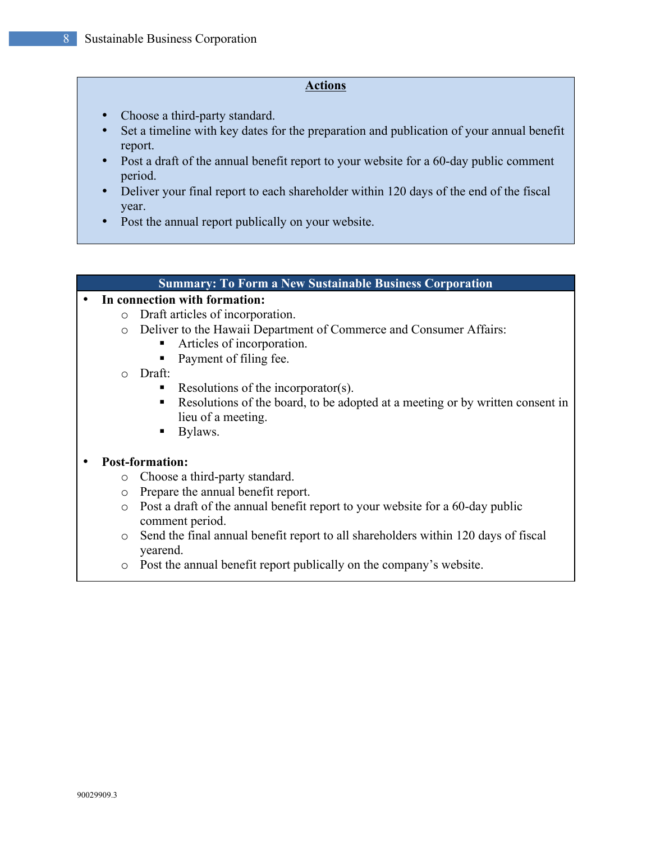### **Actions**

- Choose a third-party standard.
- Set a timeline with key dates for the preparation and publication of your annual benefit report.
- Post a draft of the annual benefit report to your website for a 60-day public comment period.
- Deliver your final report to each shareholder within 120 days of the end of the fiscal year.
- Post the annual report publically on your website.

### **Summary: To Form a New Sustainable Business Corporation**

### • **In connection with formation:**

- o Draft articles of incorporation.
- o Deliver to the Hawaii Department of Commerce and Consumer Affairs:
	- Articles of incorporation.
	- Payment of filing fee.
- o Draft:
	- Resolutions of the incorporator(s).
	- Resolutions of the board, to be adopted at a meeting or by written consent in lieu of a meeting.
	- Bylaws.

#### • **Post-formation:**

- o Choose a third-party standard.
- o Prepare the annual benefit report.
- o Post a draft of the annual benefit report to your website for a 60-day public comment period.
- o Send the final annual benefit report to all shareholders within 120 days of fiscal yearend.
- o Post the annual benefit report publically on the company's website.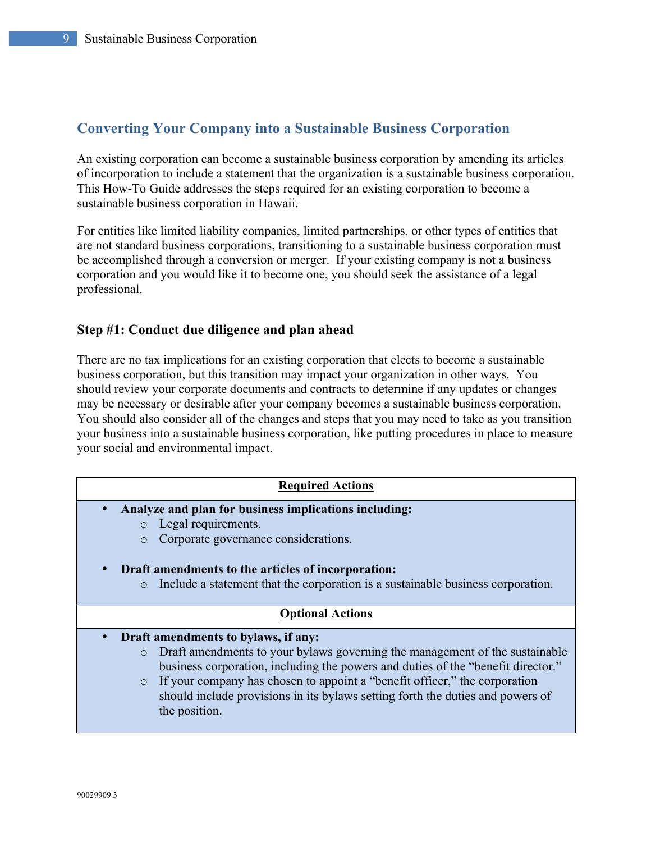### **Converting Your Company into a Sustainable Business Corporation**

An existing corporation can become a sustainable business corporation by amending its articles of incorporation to include a statement that the organization is a sustainable business corporation. This How-To Guide addresses the steps required for an existing corporation to become a sustainable business corporation in Hawaii.

For entities like limited liability companies, limited partnerships, or other types of entities that are not standard business corporations, transitioning to a sustainable business corporation must be accomplished through a conversion or merger. If your existing company is not a business corporation and you would like it to become one, you should seek the assistance of a legal professional.

### **Step #1: Conduct due diligence and plan ahead**

There are no tax implications for an existing corporation that elects to become a sustainable business corporation, but this transition may impact your organization in other ways. You should review your corporate documents and contracts to determine if any updates or changes may be necessary or desirable after your company becomes a sustainable business corporation. You should also consider all of the changes and steps that you may need to take as you transition your business into a sustainable business corporation, like putting procedures in place to measure your social and environmental impact.

| <b>Required Actions</b>                                                                                                                                                                                                                                                                                                                                                                                                    |  |  |
|----------------------------------------------------------------------------------------------------------------------------------------------------------------------------------------------------------------------------------------------------------------------------------------------------------------------------------------------------------------------------------------------------------------------------|--|--|
| Analyze and plan for business implications including:<br>Legal requirements.<br>$\circ$<br>Corporate governance considerations.<br>$\circ$<br>Draft amendments to the articles of incorporation:<br>Include a statement that the corporation is a sustainable business corporation.<br>$\circ$                                                                                                                             |  |  |
| <b>Optional Actions</b>                                                                                                                                                                                                                                                                                                                                                                                                    |  |  |
| Draft amendments to bylaws, if any:<br>$\bullet$<br>Draft amendments to your bylaws governing the management of the sustainable<br>$\circ$<br>business corporation, including the powers and duties of the "benefit director."<br>If your company has chosen to appoint a "benefit officer," the corporation<br>$\circ$<br>should include provisions in its bylaws setting forth the duties and powers of<br>the position. |  |  |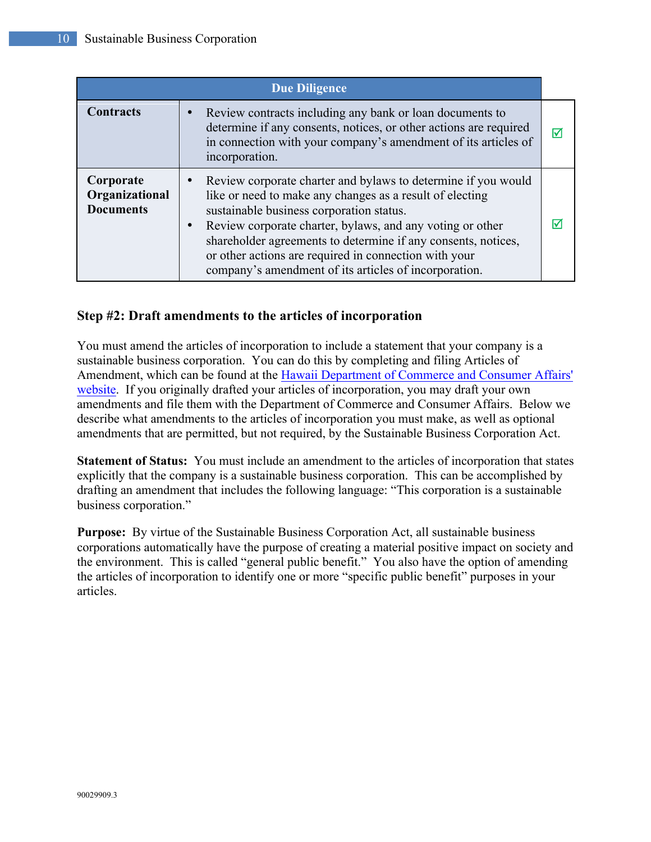| <b>Due Diligence</b>                            |                                                                                                                                                                                                                                                                                                                                                                                                                       |   |
|-------------------------------------------------|-----------------------------------------------------------------------------------------------------------------------------------------------------------------------------------------------------------------------------------------------------------------------------------------------------------------------------------------------------------------------------------------------------------------------|---|
| <b>Contracts</b>                                | Review contracts including any bank or loan documents to<br>determine if any consents, notices, or other actions are required<br>in connection with your company's amendment of its articles of<br>incorporation.                                                                                                                                                                                                     | ☑ |
| Corporate<br>Organizational<br><b>Documents</b> | Review corporate charter and bylaws to determine if you would<br>like or need to make any changes as a result of electing<br>sustainable business corporation status.<br>Review corporate charter, bylaws, and any voting or other<br>shareholder agreements to determine if any consents, notices,<br>or other actions are required in connection with your<br>company's amendment of its articles of incorporation. | M |

### **Step #2: Draft amendments to the articles of incorporation**

You must amend the articles of incorporation to include a statement that your company is a sustainable business corporation. You can do this by completing and filing Articles of Amendment, which can be found at the Hawaii Department of Commerce and Consumer Affairs' website. If you originally drafted your articles of incorporation, you may draft your own amendments and file them with the Department of Commerce and Consumer Affairs. Below we describe what amendments to the articles of incorporation you must make, as well as optional amendments that are permitted, but not required, by the Sustainable Business Corporation Act.

**Statement of Status:** You must include an amendment to the articles of incorporation that states explicitly that the company is a sustainable business corporation. This can be accomplished by drafting an amendment that includes the following language: "This corporation is a sustainable business corporation."

**Purpose:** By virtue of the Sustainable Business Corporation Act, all sustainable business corporations automatically have the purpose of creating a material positive impact on society and the environment. This is called "general public benefit." You also have the option of amending the articles of incorporation to identify one or more "specific public benefit" purposes in your articles.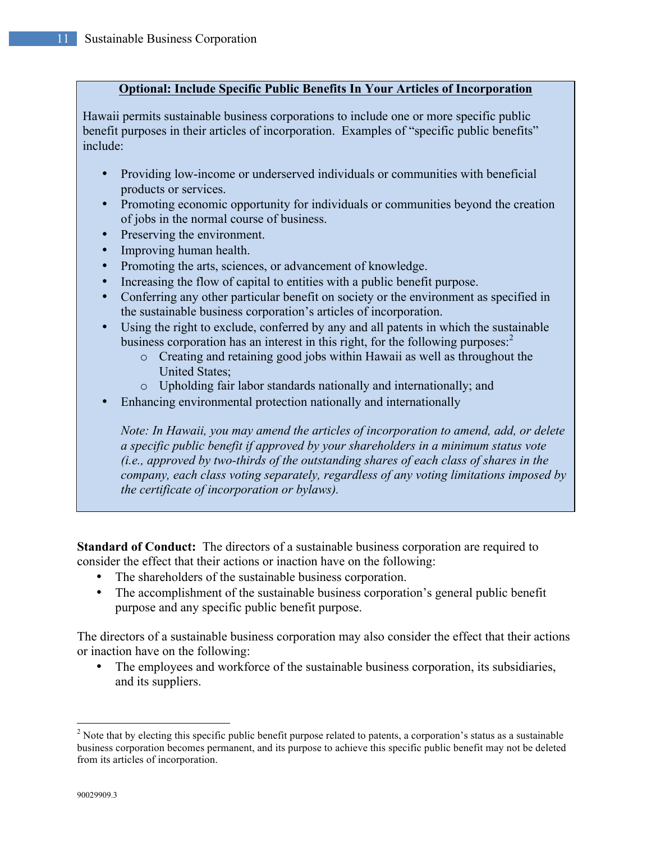### **Optional: Include Specific Public Benefits In Your Articles of Incorporation**

Hawaii permits sustainable business corporations to include one or more specific public benefit purposes in their articles of incorporation. Examples of "specific public benefits" include:

- Providing low-income or underserved individuals or communities with beneficial products or services.
- Promoting economic opportunity for individuals or communities beyond the creation of jobs in the normal course of business.
- Preserving the environment.
- Improving human health.
- Promoting the arts, sciences, or advancement of knowledge.
- Increasing the flow of capital to entities with a public benefit purpose.
- Conferring any other particular benefit on society or the environment as specified in the sustainable business corporation's articles of incorporation.
- Using the right to exclude, conferred by any and all patents in which the sustainable business corporation has an interest in this right, for the following purposes: $<sup>2</sup>$ </sup>
	- o Creating and retaining good jobs within Hawaii as well as throughout the United States;
	- o Upholding fair labor standards nationally and internationally; and
- Enhancing environmental protection nationally and internationally

*Note: In Hawaii, you may amend the articles of incorporation to amend, add, or delete a specific public benefit if approved by your shareholders in a minimum status vote (i.e., approved by two-thirds of the outstanding shares of each class of shares in the company, each class voting separately, regardless of any voting limitations imposed by the certificate of incorporation or bylaws).* 

**Standard of Conduct:** The directors of a sustainable business corporation are required to consider the effect that their actions or inaction have on the following:

- The shareholders of the sustainable business corporation.
- The accomplishment of the sustainable business corporation's general public benefit purpose and any specific public benefit purpose.

The directors of a sustainable business corporation may also consider the effect that their actions or inaction have on the following:

• The employees and workforce of the sustainable business corporation, its subsidiaries, and its suppliers.

<sup>&</sup>lt;sup>2</sup> Note that by electing this specific public benefit purpose related to patents, a corporation's status as a sustainable business corporation becomes permanent, and its purpose to achieve this specific public benefit may not be deleted from its articles of incorporation.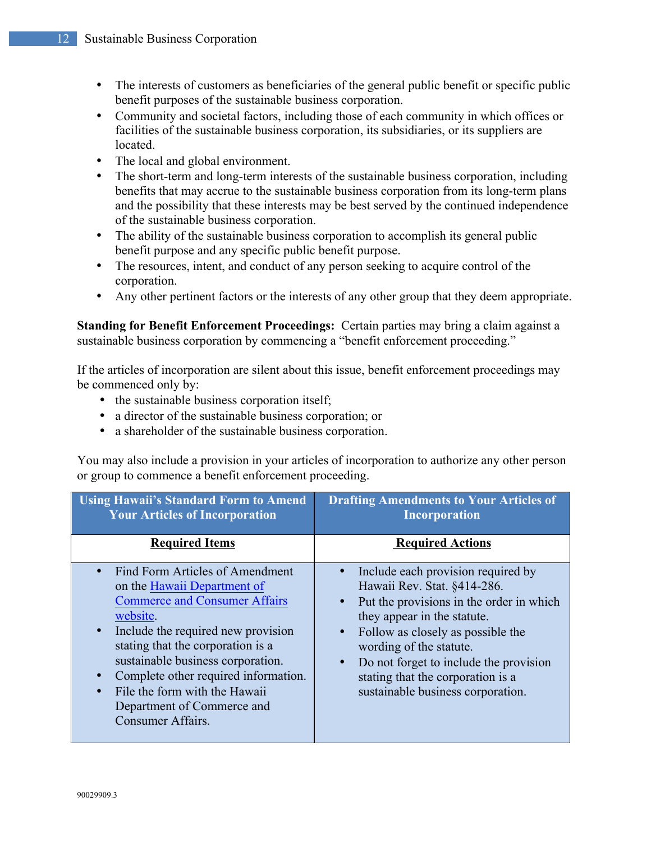- The interests of customers as beneficiaries of the general public benefit or specific public benefit purposes of the sustainable business corporation.
- Community and societal factors, including those of each community in which offices or facilities of the sustainable business corporation, its subsidiaries, or its suppliers are located.
- The local and global environment.
- The short-term and long-term interests of the sustainable business corporation, including benefits that may accrue to the sustainable business corporation from its long-term plans and the possibility that these interests may be best served by the continued independence of the sustainable business corporation.
- The ability of the sustainable business corporation to accomplish its general public benefit purpose and any specific public benefit purpose.
- The resources, intent, and conduct of any person seeking to acquire control of the corporation.
- Any other pertinent factors or the interests of any other group that they deem appropriate.

**Standing for Benefit Enforcement Proceedings:** Certain parties may bring a claim against a sustainable business corporation by commencing a "benefit enforcement proceeding."

If the articles of incorporation are silent about this issue, benefit enforcement proceedings may be commenced only by:

- the sustainable business corporation itself;
- a director of the sustainable business corporation; or
- a shareholder of the sustainable business corporation.

You may also include a provision in your articles of incorporation to authorize any other person or group to commence a benefit enforcement proceeding.

| <b>Using Hawaii's Standard Form to Amend</b><br><b>Your Articles of Incorporation</b>                                                                                                                                                                                                                                                                          | <b>Drafting Amendments to Your Articles of</b><br><b>Incorporation</b>                                                                                                                                                                                                                                                           |
|----------------------------------------------------------------------------------------------------------------------------------------------------------------------------------------------------------------------------------------------------------------------------------------------------------------------------------------------------------------|----------------------------------------------------------------------------------------------------------------------------------------------------------------------------------------------------------------------------------------------------------------------------------------------------------------------------------|
| <b>Required Items</b>                                                                                                                                                                                                                                                                                                                                          | <b>Required Actions</b>                                                                                                                                                                                                                                                                                                          |
| Find Form Articles of Amendment<br>on the Hawaii Department of<br><b>Commerce and Consumer Affairs</b><br>website.<br>Include the required new provision<br>stating that the corporation is a<br>sustainable business corporation.<br>Complete other required information.<br>File the form with the Hawaii<br>Department of Commerce and<br>Consumer Affairs. | Include each provision required by<br>Hawaii Rev. Stat. §414-286.<br>Put the provisions in the order in which<br>they appear in the statute.<br>Follow as closely as possible the<br>wording of the statute.<br>Do not forget to include the provision<br>stating that the corporation is a<br>sustainable business corporation. |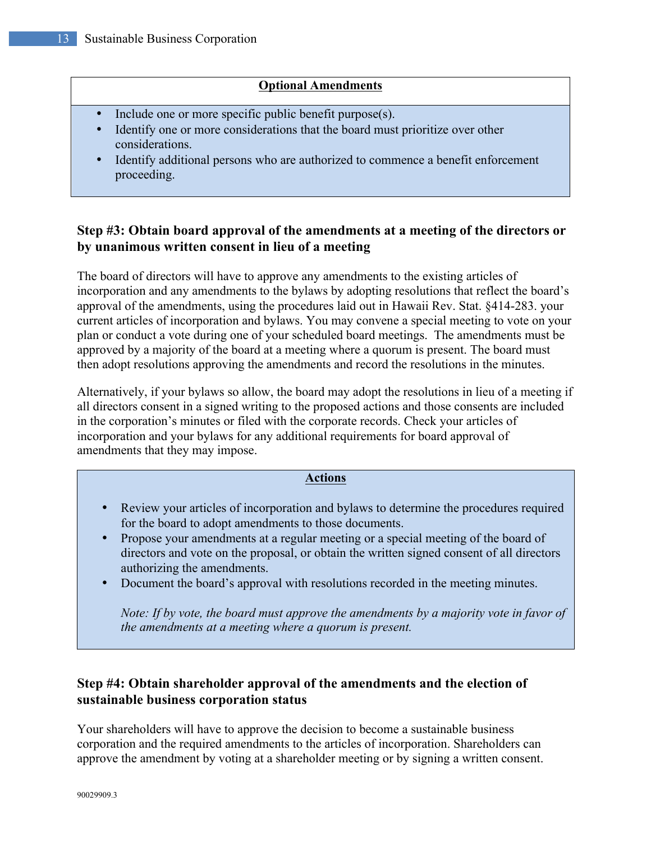### **Optional Amendments**

- Include one or more specific public benefit purpose(s).
- Identify one or more considerations that the board must prioritize over other considerations.
- Identify additional persons who are authorized to commence a benefit enforcement proceeding.

### **Step #3: Obtain board approval of the amendments at a meeting of the directors or by unanimous written consent in lieu of a meeting**

The board of directors will have to approve any amendments to the existing articles of incorporation and any amendments to the bylaws by adopting resolutions that reflect the board's approval of the amendments, using the procedures laid out in Hawaii Rev. Stat. §414-283. your current articles of incorporation and bylaws. You may convene a special meeting to vote on your plan or conduct a vote during one of your scheduled board meetings. The amendments must be approved by a majority of the board at a meeting where a quorum is present. The board must then adopt resolutions approving the amendments and record the resolutions in the minutes.

Alternatively, if your bylaws so allow, the board may adopt the resolutions in lieu of a meeting if all directors consent in a signed writing to the proposed actions and those consents are included in the corporation's minutes or filed with the corporate records. Check your articles of incorporation and your bylaws for any additional requirements for board approval of amendments that they may impose.

#### **Actions**

- Review your articles of incorporation and bylaws to determine the procedures required for the board to adopt amendments to those documents.
- Propose your amendments at a regular meeting or a special meeting of the board of directors and vote on the proposal, or obtain the written signed consent of all directors authorizing the amendments.
- Document the board's approval with resolutions recorded in the meeting minutes.

*Note: If by vote, the board must approve the amendments by a majority vote in favor of the amendments at a meeting where a quorum is present.*

### **Step #4: Obtain shareholder approval of the amendments and the election of sustainable business corporation status**

Your shareholders will have to approve the decision to become a sustainable business corporation and the required amendments to the articles of incorporation. Shareholders can approve the amendment by voting at a shareholder meeting or by signing a written consent.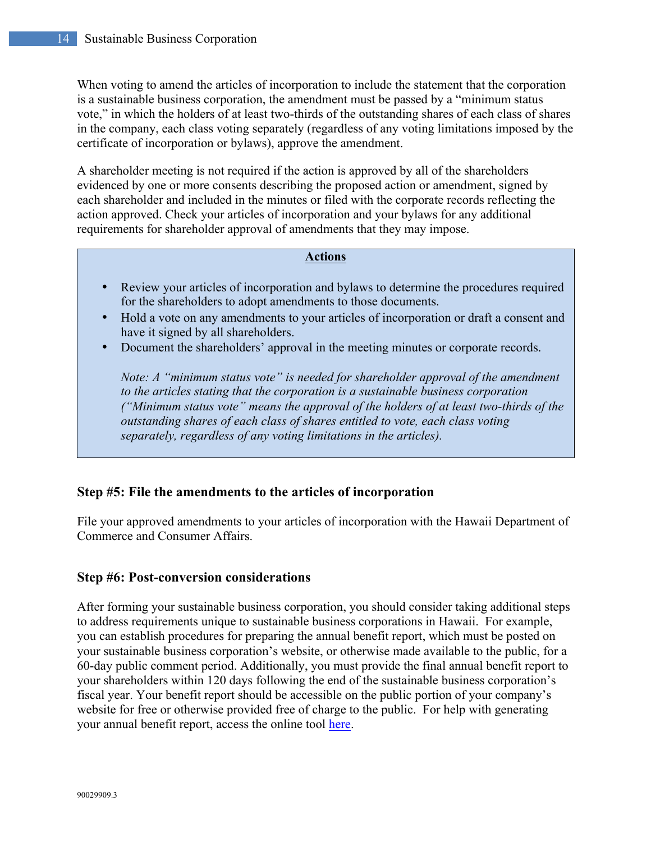When voting to amend the articles of incorporation to include the statement that the corporation is a sustainable business corporation, the amendment must be passed by a "minimum status vote," in which the holders of at least two-thirds of the outstanding shares of each class of shares in the company, each class voting separately (regardless of any voting limitations imposed by the certificate of incorporation or bylaws), approve the amendment.

A shareholder meeting is not required if the action is approved by all of the shareholders evidenced by one or more consents describing the proposed action or amendment, signed by each shareholder and included in the minutes or filed with the corporate records reflecting the action approved. Check your articles of incorporation and your bylaws for any additional requirements for shareholder approval of amendments that they may impose.

### **Actions**

- Review your articles of incorporation and bylaws to determine the procedures required for the shareholders to adopt amendments to those documents.
- Hold a vote on any amendments to your articles of incorporation or draft a consent and have it signed by all shareholders.
- Document the shareholders' approval in the meeting minutes or corporate records.

*Note: A "minimum status vote" is needed for shareholder approval of the amendment to the articles stating that the corporation is a sustainable business corporation ("Minimum status vote" means the approval of the holders of at least two-thirds of the outstanding shares of each class of shares entitled to vote, each class voting separately, regardless of any voting limitations in the articles).*

### **Step #5: File the amendments to the articles of incorporation**

File your approved amendments to your articles of incorporation with the Hawaii Department of Commerce and Consumer Affairs.

### **Step #6: Post-conversion considerations**

After forming your sustainable business corporation, you should consider taking additional steps to address requirements unique to sustainable business corporations in Hawaii. For example, you can establish procedures for preparing the annual benefit report, which must be posted on your sustainable business corporation's website, or otherwise made available to the public, for a 60-day public comment period. Additionally, you must provide the final annual benefit report to your shareholders within 120 days following the end of the sustainable business corporation's fiscal year. Your benefit report should be accessible on the public portion of your company's website for free or otherwise provided free of charge to the public. For help with generating your annual benefit report, access the online tool here.